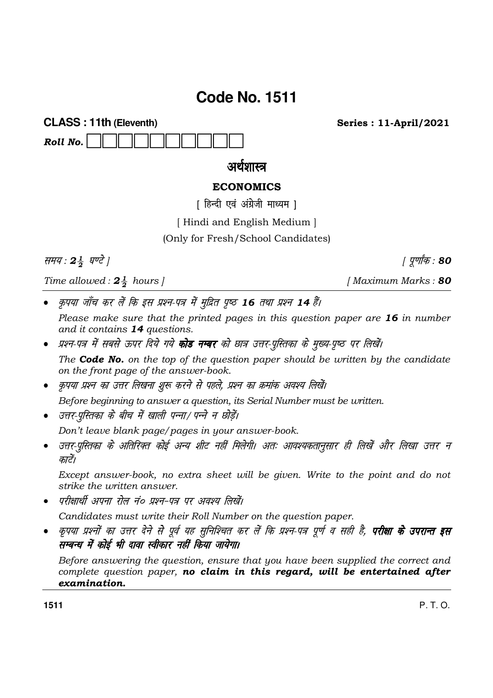# **Code No. 1511**

**CLASS: 11th (Eleventh)** Roll No.

**Series: 11-April/2021** 

## अर्थशास्त्र

### **ECONOMICS**

[ हिन्दी एवं अंग्रेजी माध्यम ]

[Hindi and English Medium]

(Only for Fresh/School Candidates)

समय: 24 घण्टे |

Time allowed:  $2\frac{1}{2}$  hours |

कृपया जाँच कर लें कि इस प्रश्न-पत्र में मुद्रित पृष्ठ 16 तथा प्रश्न 14 हैं।

Please make sure that the printed pages in this question paper are 16 in number and it contains 14 questions.

- प्रश्न-पत्र में सबसे ऊपर दिये गये **कोड नम्बर** को छात्र उत्तर-पुस्तिका के मुख्य-पृष्ठ पर लिखें। The **Code No.** on the top of the question paper should be written by the candidate on the front page of the answer-book.
- कृपया प्रश्न का उत्तर लिखना शुरू करने से पहले, प्रश्न का क्रमांक अवश्य लिखें।

Before beginning to answer a question, its Serial Number must be written.

• उत्तर-परितका के बीच में खाली पन्ना/ पन्ने न छोडें।

Don't leave blank page/pages in your answer-book.

उत्तर-पुस्तिका के अतिरिक्त कोई अन्य शीट नहीं मिलेगी। अतः आवश्यकतानुसार ही लिखें और लिखा उत्तर न  $\bullet$ कारें।

Except answer-book, no extra sheet will be given. Write to the point and do not strike the *uritten* answer.

परीक्षार्थी अपना रोल नं० प्रश्न-पत्र पर अवश्य लिखें।

Candidates must write their Roll Number on the question paper.

कृपया प्रश्नों का उत्तर देने से पूर्व यह सुनिश्चित कर लें कि प्रश्न-पत्र पूर्ण व सही है, **परीक्षा के उपरान्त इस** सम्बन्ध में कोई भी दावा स्वीकार नहीं किया जायेगा।

Before answering the question, ensure that you have been supplied the correct and complete question paper, no claim in this regard, will be entertained after examination.

1511

P T O

[Maximum Marks: 80

| पूर्णांक : 80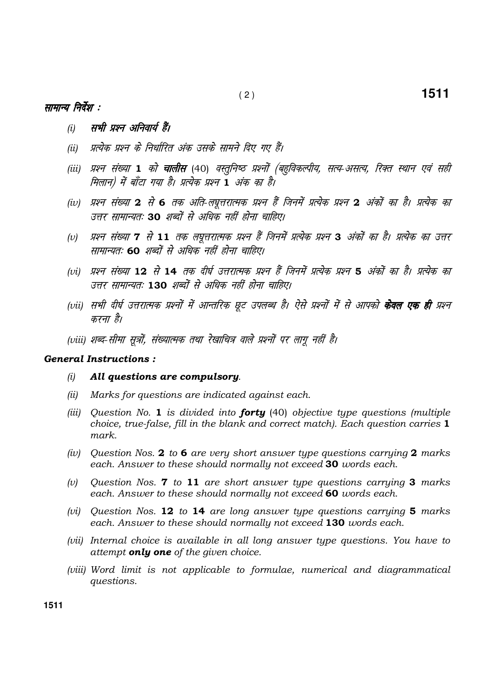### सामान्य निर्देश :

- सभी प्रश्न अनिवार्य हैं।  $(i)$
- प्रत्येक प्रश्न के निर्धारित अंक उसके सामने दिए गए हैं।  $(ii)$
- (iii) प्रश्न संख्या 1 को **चालीस** (40) वस्तुनिष्ठ प्रश्नों (बहुविकल्पीय, सत्य-असत्य, रिक्त स्थान एवं सही मिलान) में बाँटा गया है। प्रत्येक प्रश्न 1 अंक का है।
- (iv) प्रश्न संख्या 2 से 6 तक अति-लघूत्तरात्मक प्रश्न हैं जिनमें प्रत्येक प्रश्न 2 अंकों का है। प्रत्येक का उत्तर सामान्यतः 30 शब्दों से अधिक नहीं होना चाहिए।
- प्रश्न संख्या 7 से 11 तक लघूत्तरात्मक प्रश्न हैं जिनमें प्रत्येक प्रश्न 3 अंकों का है। प्रत्येक का उत्तर  $(v)$ सामान्यतः 60 शब्दों से अधिक नहीं होना चाहिए।
- (vi) प्रश्न संख्या 12 से 14 तक दीर्घ उत्तरात्मक प्रश्न हैं जिनमें प्रत्येक प्रश्न 5 अंकों का है। प्रत्येक का उत्तर सामान्यतः 130 शब्दों से अधिक नहीं होना चाहिए।
- (vii) सभी दीर्घ उत्तरात्मक प्रश्नों में आन्तरिक छूट उपलब्ध है। ऐसे प्रश्नों में से आपको **केवल एक ही** प्रश्न करना है।
- (viii) शब्द-सीमा सुत्रों, संख्यात्मक तथा रेखाचित्र वाले प्रश्नों पर लागू नहीं है।

#### **General Instructions:**

- All questions are compulsory.  $(i)$
- $(ii)$ Marks for questions are indicated against each.
- (iii) Question No. 1 is divided into **forty** (40) objective type questions (multiple choice, true-false, fill in the blank and correct match). Each question carries 1 mark.
- (iv) Question Nos. 2 to 6 are very short answer type questions carrying 2 marks each. Answer to these should normally not exceed 30 words each.
- Question Nos. 7 to 11 are short answer type questions carrying 3 marks  $(v)$ each. Answer to these should normally not exceed 60 words each.
- (vi) Question Nos. 12 to 14 are long answer type questions carrying  $5$  marks each. Answer to these should normally not exceed 130 words each.
- (vii) Internal choice is available in all long answer type questions. You have to attempt **only one** of the given choice.
- (viii) Word limit is not applicable to formulae, numerical and diagrammatical *auestions.*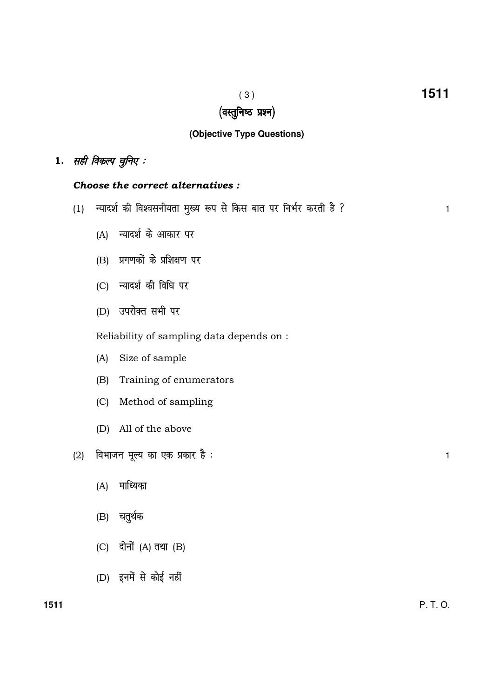## (वस्तुनिष्ठ प्रश्न)

## **(Objective Type Questions)**

## $1.$  सही विकल्प चुनिए :

### Choose the correct alternatives :

- (1) U;kn'k Z dh fo'oluh;rk e q[; :i ls fdl ckr ij fuHkZj djrh gS \ <sup>1</sup>
	- (A) न्यादर्श के आकार पर
	- $(B)$  प्रगणकों के प्रशिक्षण पर
	- (C) न्यादर्श की विधि पर
	- (D) उपरोक्त सभी पर

Reliability of sampling data depends on :

- (A) Size of sample
- (B) Training of enumerators
- (C) Method of sampling
- (D) All of the above
- (2) foHkktu ewY; dk ,d çdkj gS % <sup>1</sup>
	- $(A)$  माध्यिका
	- (B) चतुर्थक
	- $(C)$  दोनों  $(A)$  तथा  $(B)$
	- $(D)$  इनमें से कोई नहीं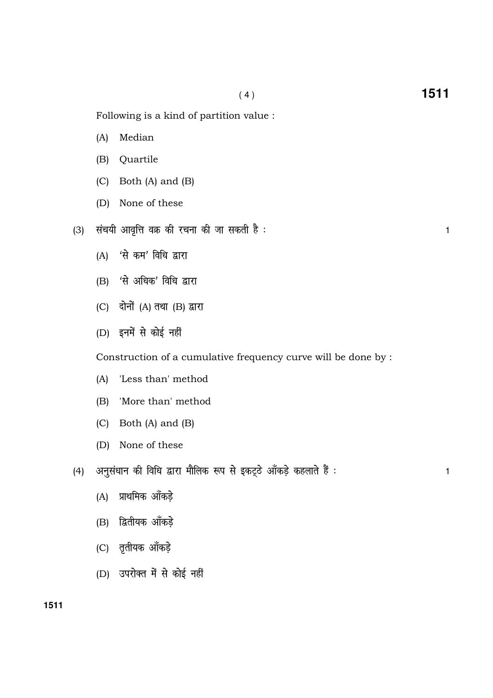- (A) Median
- (B) Quartile
- (C) Both (A) and (B)
- (D) None of these
- (3) lap;h vko`fÙk oØ dh jpuk dh tk ldrh gS % <sup>1</sup>
	- $(A)$  'से कम' विधि द्वारा
	- $(B)$  'से अधिक' विधि द्वारा
	- $(C)$  दोनों  $(A)$  तथा  $(B)$  द्वारा
	- $(D)$  इनमें से कोई नहीं

Construction of a cumulative frequency curve will be done by :

- (A) 'Less than' method
- (B) 'More than' method
- (C) Both (A) and (B)
- (D) None of these
- (4) अनुसंधान की विधि द्वारा मौलिक रूप से इकट्ठे ऑकड़े कहलाते हैं : बाद कर अपने का अपने 1
	- $(A)$  प्राथमिक आँकडे
	- (B) द्वितीयक आँकड़े
	- (C) तृतीयक आँकड़े
	- (D) उपरोक्त में से कोई नहीं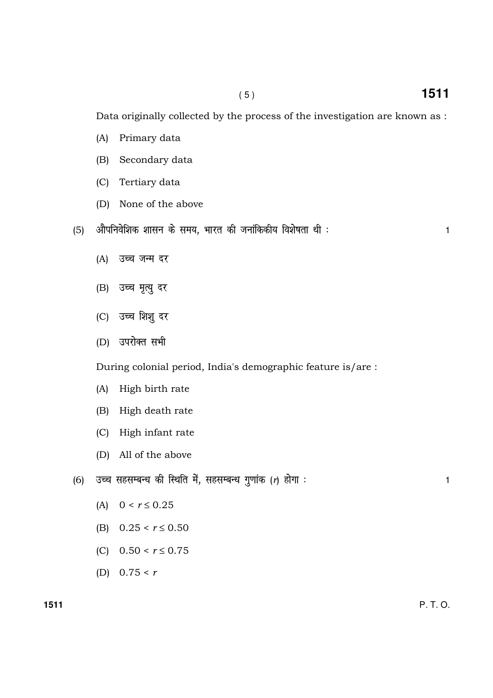Data originally collected by the process of the investigation are known as :

- (A) Primary data
- (B) Secondary data
- (C) Tertiary data
- (D) None of the above
- (5) vk Sifuo sf'kd 'kklu d s le;] Hkkjr dh tukafddh; fo'k s"krk Fkh % <sup>1</sup>
	-

- (A) उच्च जन्म दर
- (B) उच्च मृत्यु दर
- (C) उच्च शिशु दर
- (D) उपरोक्त सभी

During colonial period, India's demographic feature is/are :

- (A) High birth rate
- (B) High death rate
- (C) High infant rate
- (D) All of the above
- (6) mPp lglEcU/k dh fLFkfr es a] lglEcU/k xq.kk ad (r) gk sxk % <sup>1</sup>
	- (A)  $0 < r \le 0.25$
	- (B)  $0.25 < r \le 0.50$
	- (C)  $0.50 \le r \le 0.75$
	- (D)  $0.75 < r$

**1511** P. T. O.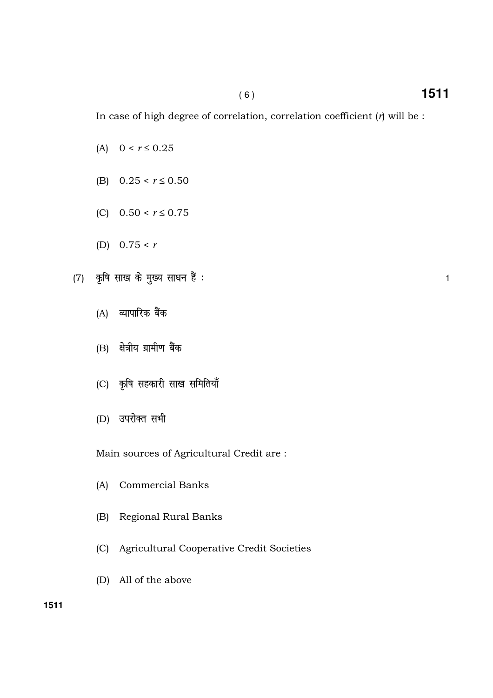In case of high degree of correlation, correlation coefficient  $(r)$  will be :

- (A)  $0 < r \le 0.25$
- (B)  $0.25 < r \le 0.50$
- (C)  $0.50 < r \le 0.75$
- (D)  $0.75 < r$
- (7) कृषि साख के मुख्य साधन हैं : बाह्य करने के साथ करने के बाद्ध करने के बाद्ध करने के बाद्ध करने व
	- (A) व्यापारिक बैंक
	- $(B)$  क्षेत्रीय ग्रामीण बैंक
	- (C) कृषि सहकारी साख समितियाँ
	- (D) उपरोक्त सभी

Main sources of Agricultural Credit are :

- (A) Commercial Banks
- (B) Regional Rural Banks
- (C) Agricultural Cooperative Credit Societies
- (D) All of the above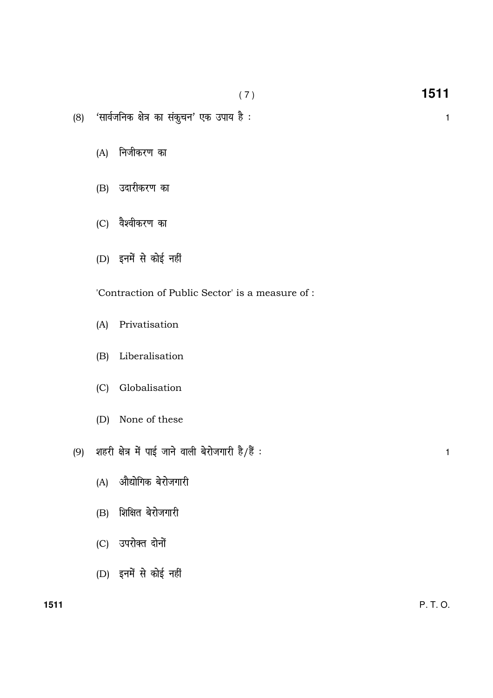1511  $(7)$ 

 $\mathbf{1}$ 

- (8) 'सार्वजनिक क्षेत्र का संकुचन' एक उपाय है :
	- (A) निजीकरण का
	- (B) उदारीकरण का
	- (C) वैश्वीकरण का
	- (D) इनमें से कोई नहीं

'Contraction of Public Sector' is a measure of :

- (A) Privatisation
- (B) Liberalisation
- (C) Globalisation
- (D) None of these

(9) शहरी क्षेत्र में पाई जाने वाली बेरोजगारी है/हैं :

- (A) औद्योगिक बेरोजगारी
- (B) शिक्षित बेरोजगारी
- (C) उपरोक्त दोनों
- (D) इनमें से कोई नहीं

 $\mathbf{1}$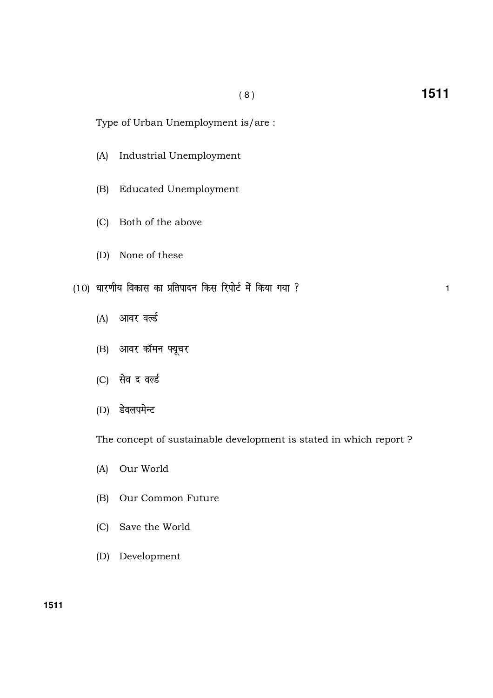Type of Urban Unemployment is/are :

- (A) Industrial Unemployment
- (B) Educated Unemployment
- (C) Both of the above
- (D) None of these
- (10) धारणीय विकास का प्रतिपादन किस रिपोर्ट में किया गया ?
	- (A) आवर वर्ल्ड
	- (B) आवर कॉमन फ्यूचर
	- (C) सेव द वर्ल्ड
	- (D) डेवलपमेन्ट

The concept of sustainable development is stated in which report ?

- (A) Our World
- (B) Our Common Future
- (C) Save the World
- (D) Development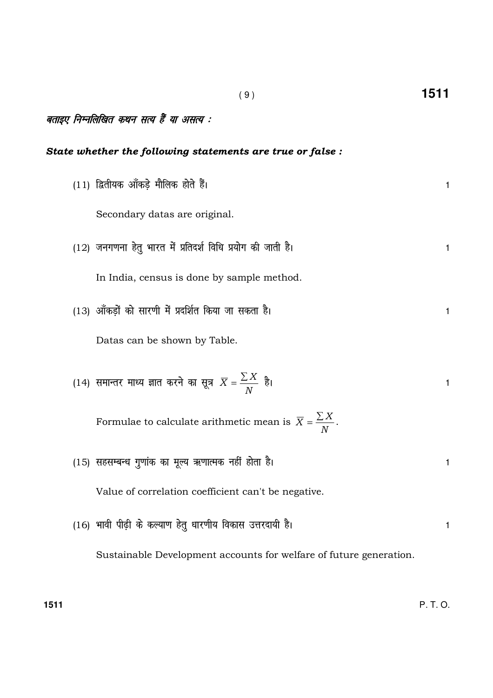| बताइए निम्नलिखित कथन सत्य हैं या असत्य : |                                                                              |   |  |  |  |
|------------------------------------------|------------------------------------------------------------------------------|---|--|--|--|
|                                          | State whether the following statements are true or false :                   |   |  |  |  |
|                                          | (11) द्वितीयक आँकड़े मौलिक होते हैं।                                         | 1 |  |  |  |
|                                          | Secondary datas are original.                                                |   |  |  |  |
|                                          | $(12)$ जनगणना हेतु भारत में प्रतिदर्श विधि प्रयोग की जाती है।                | 1 |  |  |  |
|                                          | In India, census is done by sample method.                                   |   |  |  |  |
|                                          | (13) आँकड़ों को सारणी में प्रदर्शित किया जा सकता है।                         | 1 |  |  |  |
|                                          | Datas can be shown by Table.                                                 |   |  |  |  |
|                                          | (14) समान्तर माध्य ज्ञात करने का सूत्र $\overline{X} = \frac{\sum X}{N}$ है। | 1 |  |  |  |
|                                          | Formulae to calculate arithmetic mean is $\overline{X} = \frac{\sum X}{N}$ . |   |  |  |  |
|                                          | (15) सहसम्बन्ध गुणांक का मूल्य ऋणात्मक नहीं होता है।                         | 1 |  |  |  |
|                                          | Value of correlation coefficient can't be negative.                          |   |  |  |  |
|                                          | (16) भावी पीढ़ी के कल्याण हेतु धारणीय विकास उत्तरदायी है।                    | 1 |  |  |  |

( 9 ) **1511**

Sustainable Development accounts for welfare of future generation.

**1511** P. T. O.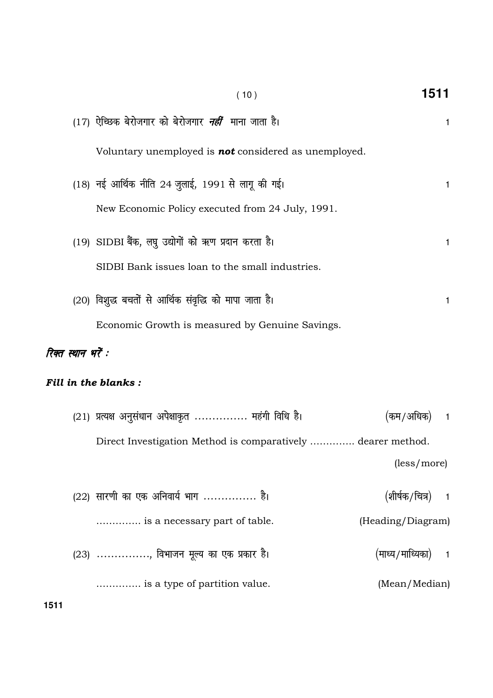|                    | (10)                                                         | 1511               |                |
|--------------------|--------------------------------------------------------------|--------------------|----------------|
|                    | (17) ऐच्छिक बेरोजगार को बेरोजगार <i>नहीं</i> माना जाता है।   |                    | 1.             |
|                    | Voluntary unemployed is <b>not</b> considered as unemployed. |                    |                |
|                    | (18) नई आर्थिक नीति 24 जुलाई, 1991 से लागू की गई।            |                    | 1              |
|                    | New Economic Policy executed from 24 July, 1991.             |                    |                |
|                    | (19) SIDBI बैंक, लघु उद्योगों को ऋण प्रदान करता है।          |                    | 1              |
|                    | SIDBI Bank issues loan to the small industries.              |                    |                |
|                    | (20) विशुद्ध बचतों से आर्थिक संवृद्धि को मापा जाता है।       |                    | 1              |
|                    | Economic Growth is measured by Genuine Savings.              |                    |                |
| रिक्त स्थान भरें : |                                                              |                    |                |
|                    | <b>Fill in the blanks:</b>                                   |                    |                |
|                    | (21) प्रत्यक्ष अनुसंधान अपेक्षाकृत  महंगी विधि है।           | (कम/अधिक)          | 1              |
|                    | Direct Investigation Method is comparatively  dearer method. |                    |                |
|                    |                                                              | (less/more)        |                |
|                    | (22) सारणी का एक अनिवार्य भाग  है।                           | (शीर्षक/चित्र)     | $\overline{1}$ |
|                    | is a necessary part of table.                                | (Heading/Diagram)  |                |
|                    | (23) , विभाजन मूल्य का एक प्रकार है।                         | (माध्य/माध्यिका) 1 |                |
|                    | is a type of partition value.                                | (Mean/Median)      |                |
| 1511               |                                                              |                    |                |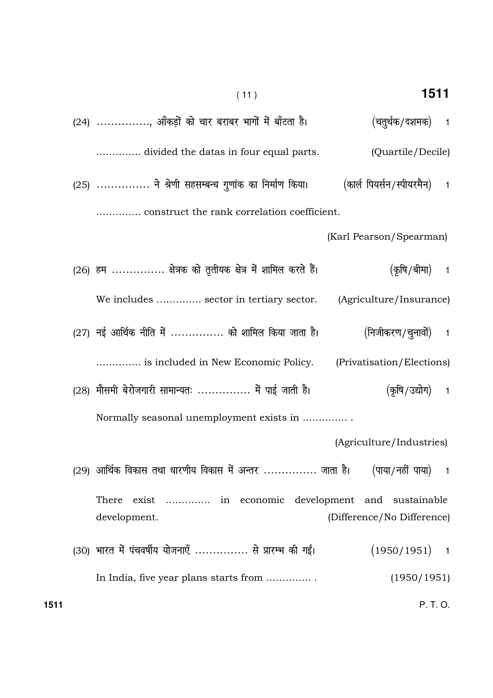- 1511  $(11)$ (24) ..............., ऑकड़ों को चार बराबर भागों में बाँटता है। (चतुर्थक/दशमक)  $\overline{1}$ .............. divided the datas in four equal parts. (Quartile/Decile) (25) ............... ने श्रेणी सहसम्बन्ध गुणांक का निर्माण किया। (कार्ल पियर्सन/स्पीयरमैन)  $\overline{1}$ .............. construct the rank correlation coefficient. (Karl Pearson/Spearman) (26) हम .............. क्षेत्रक को तृतीयक क्षेत्र में शामिल करते हैं। (कषि /बीमा)  $\mathbf{1}$ We includes .............. sector in tertiary sector. (Agriculture/Insurance)
- (27) नई आर्थिक नीति में .............. को शामिल किया जाता है। (निजीकरण/चुनावों)  $\mathbf{1}$

.............. is included in New Economic Policy. (Privatisation/Elections)

(28) मौसमी बेरोजगारी सामान्यतः ............... में पाई जाती है। (कषि/उद्योग)  $\mathbf{1}$ Normally seasonal unemployment exists in ...............

(Agriculture/Industries)

(29) आर्थिक विकास तथा धारणीय विकास में अन्तर ............... जाता है। (पाया/नहीं पाया)  $\mathbf{1}$ 

There exist .............. in economic development and sustainable development. (Difference/No Difference)

(30) भारत में पंचवर्षीय योजनाएँ ............... से प्रारम्भ की गईं।  $(1950/1951)$  $\overline{1}$  $(1950/1951)$ In India, five year plans starts from ...............

 $P.T.O.$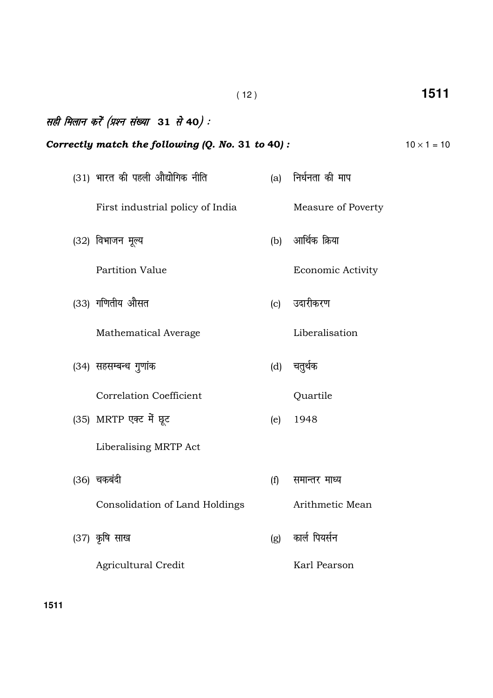|                                                   | (12) |                          | 1511               |
|---------------------------------------------------|------|--------------------------|--------------------|
| सही मिलान करें (प्रश्न संख्या 31 से 40):          |      |                          |                    |
| Correctly match the following (Q. No. 31 to 40) : |      |                          | $10 \times 1 = 10$ |
| (31) भारत की पहली औद्योगिक नीति                   |      | (a) निर्धनता की माप      |                    |
| First industrial policy of India                  |      | Measure of Poverty       |                    |
| (32) विभाजन मूल्य                                 | (b)  | आर्थिक क्रिया            |                    |
| Partition Value                                   |      | <b>Economic Activity</b> |                    |
| (33) गणितीय औसत                                   | (c)  | उदारीकरण                 |                    |
| Mathematical Average                              |      | Liberalisation           |                    |
| (34) सहसम्बन्ध गुणांक                             |      | (d) चतुर्थक              |                    |
| <b>Correlation Coefficient</b>                    |      | Quartile                 |                    |
| (35) MRTP एक्ट में छूट                            | (e)  | 1948                     |                    |
| Liberalising MRTP Act                             |      |                          |                    |
| (36) चकबंदी                                       | (f)  | समान्तर माध्य            |                    |
| Consolidation of Land Holdings                    |      | Arithmetic Mean          |                    |
| (37) कृषि साख                                     | (g)  | कार्ल पियर्सन            |                    |
| <b>Agricultural Credit</b>                        |      | Karl Pearson             |                    |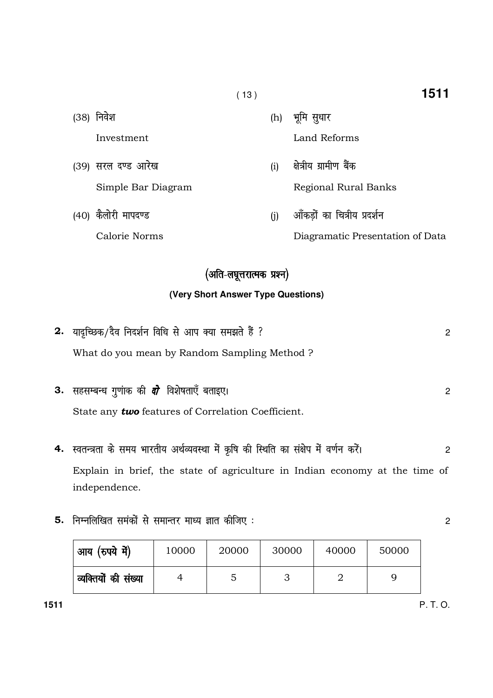| (38) | निवेश               | (h) | भूमि सुधार                       |
|------|---------------------|-----|----------------------------------|
|      | Investment          |     | Land Reforms                     |
|      | (39) सरल दण्ड आरेख  | (i) | क्षेत्रीय ग्रामीण बैंक           |
|      | Simple Bar Diagram  |     | Regional Rural Banks             |
|      | (40) कैलोरी मापदण्ड | (i) | आँकडों का चित्रीय प्रदर्शन       |
|      | Calorie Norms       |     | Diagramatic Presentation of Data |

 $(13)$ 

## (अति-लघूत्तरात्मक प्रश्न)

### (Very Short Answer Type Questions)

| 2. यादृच्छिक/दैव निदर्शन विधि से आप क्या समझते हैं ? |  |
|------------------------------------------------------|--|
| What do you mean by Random Sampling Method?          |  |
|                                                      |  |

| <b>3.</b> सहसम्बन्ध गुणांक की <i>दो</i> विशेषताएँ बताइए।  |  |
|-----------------------------------------------------------|--|
| State any <b>two</b> features of Correlation Coefficient. |  |

- 4. स्वतन्त्रता के समय भारतीय अर्थव्यवस्था में कृषि की स्थिति का संक्षेप में वर्णन करें।  $\overline{2}$ Explain in brief, the state of agriculture in Indian economy at the time of independence.
- 5. निम्नलिखित समंकों से समान्तर माध्य ज्ञात कीजिए:

| ' आय (रुपये में)     | 10000 | 20000 | 30000 | 40000 | 50000 |
|----------------------|-------|-------|-------|-------|-------|
| व्यक्तियों की संख्या |       |       |       |       |       |

1511

 $\overline{2}$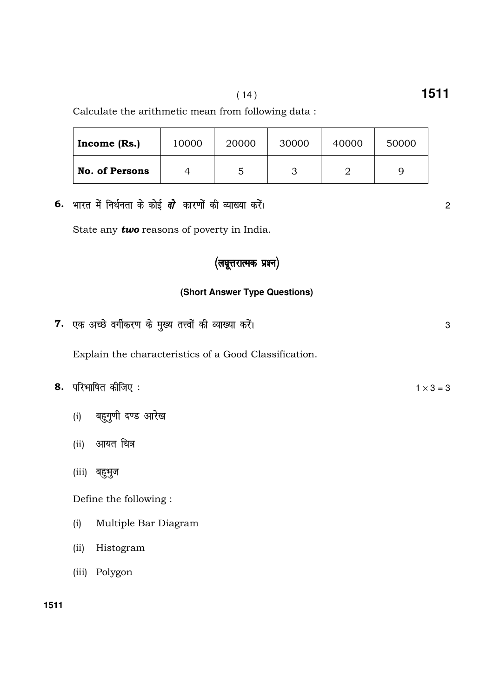Calculate the arithmetic mean from following data :

| Income $(Rs.)$        | 10000 | 20000 | 30000 | 40000 | 50000 |
|-----------------------|-------|-------|-------|-------|-------|
| <b>No. of Persons</b> |       | 5     |       |       |       |

6. भारत में निर्धनता के कोई *दो* कारणों की व्याख्या करें।

State any **two** reasons of poverty in India.

## (लघूत्तरात्मक प्रश्न)

#### **(Short Answer Type Questions)**

7. एक अच्छे वर्गीकरण के मुख्य तत्त्वों की व्याख्या करें। सामान के बाद कर सामान कर सामान कर सामान कर अ

Explain the characteristics of a Good Classification.

|  | 8. परिभाषित कीजिए: | $1 \times 3 = 3$ |  |
|--|--------------------|------------------|--|
|--|--------------------|------------------|--|

- (i) बहुगुणी दण्ड आरेख
- (ii) आयत चित्र
- (iii) बहुभुज

Define the following :

- (i) Multiple Bar Diagram
- (ii) Histogram
- (iii) Polygon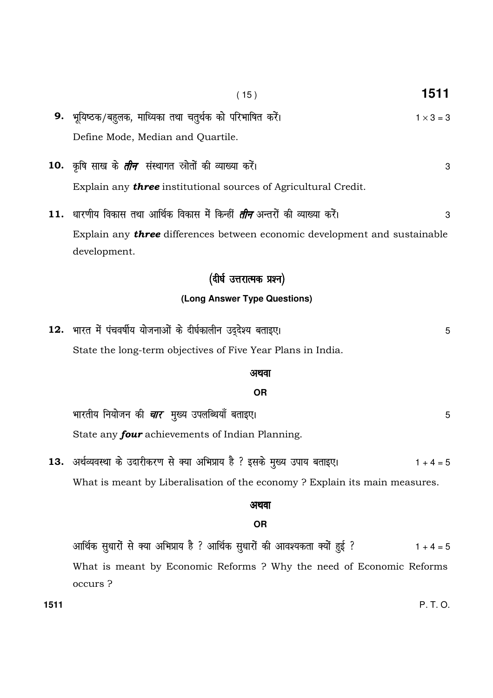- $(15)$ 9. भूयिष्ठक/बहुलक, माध्यिका तथा चतुर्थक को परिभाषित करें।  $1 \times 3 = 3$ Define Mode, Median and Quartile.
- 10. कृषि साख के *तीन* संस्थागत स्रोतों की व्याख्या करें। Explain any **three** institutional sources of Agricultural Credit.
- 11. धारणीय विकास तथा आर्थिक विकास में किन्हीं *तीन* अन्तरों की व्याख्या करें। 3 Explain any three differences between economic development and sustainable development.

### (दीर्घ उत्तरात्मक प्रश्न)

### (Long Answer Type Questions)

12. भारत में पंचवर्षीय योजनाओं के दीर्घकालीन उद्देश्य बताइए। 5 State the long-term objectives of Five Year Plans in India.

#### अथवा

#### **OR**

भारतीय नियोजन की *चार* मुख्य उपलब्धियाँ बताइए। State any four achievements of Indian Planning.

13. अर्थव्यवस्था के उदारीकरण से क्या अभिप्राय है ? इसके मुख्य उपाय बताइए।  $1 + 4 = 5$ What is meant by Liberalisation of the economy ? Explain its main measures.

### अथवा

### **OR**

आर्थिक सुधारों से क्या अभिप्राय है ? आर्थिक सुधारों की आवश्यकता क्यों हुई ?  $1 + 4 = 5$ What is meant by Economic Reforms ? Why the need of Economic Reforms occurs?

 $P.T.O.$ 

1511

3

5